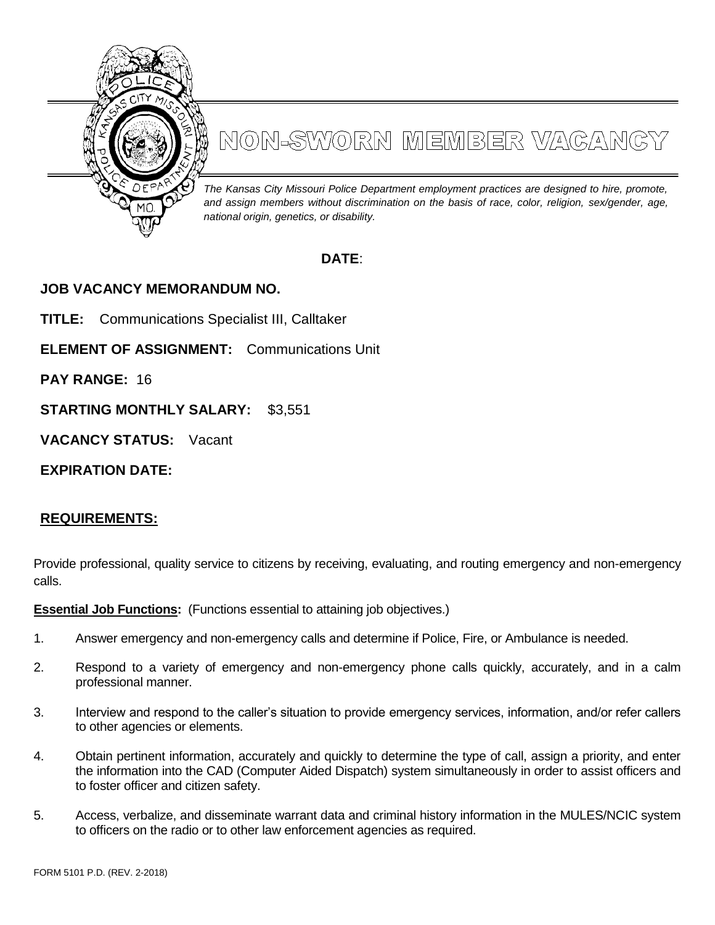

# NON-SWORN MEMBER VAGANGY

*The Kansas City Missouri Police Department employment practices are designed to hire, promote, and assign members without discrimination on the basis of race, color, religion, sex/gender, age, national origin, genetics, or disability.*

# **DATE**:

# **JOB VACANCY MEMORANDUM NO.**

**TITLE:** Communications Specialist III, Calltaker

**ELEMENT OF ASSIGNMENT:** Communications Unit

**PAY RANGE:** 16

**STARTING MONTHLY SALARY:** \$3,551

**VACANCY STATUS:** Vacant

**EXPIRATION DATE:**

## **REQUIREMENTS:**

Provide professional, quality service to citizens by receiving, evaluating, and routing emergency and non-emergency calls.

**Essential Job Functions:** (Functions essential to attaining job objectives.)

- 1. Answer emergency and non-emergency calls and determine if Police, Fire, or Ambulance is needed.
- 2. Respond to a variety of emergency and non-emergency phone calls quickly, accurately, and in a calm professional manner.
- 3. Interview and respond to the caller's situation to provide emergency services, information, and/or refer callers to other agencies or elements.
- 4. Obtain pertinent information, accurately and quickly to determine the type of call, assign a priority, and enter the information into the CAD (Computer Aided Dispatch) system simultaneously in order to assist officers and to foster officer and citizen safety.
- 5. Access, verbalize, and disseminate warrant data and criminal history information in the MULES/NCIC system to officers on the radio or to other law enforcement agencies as required.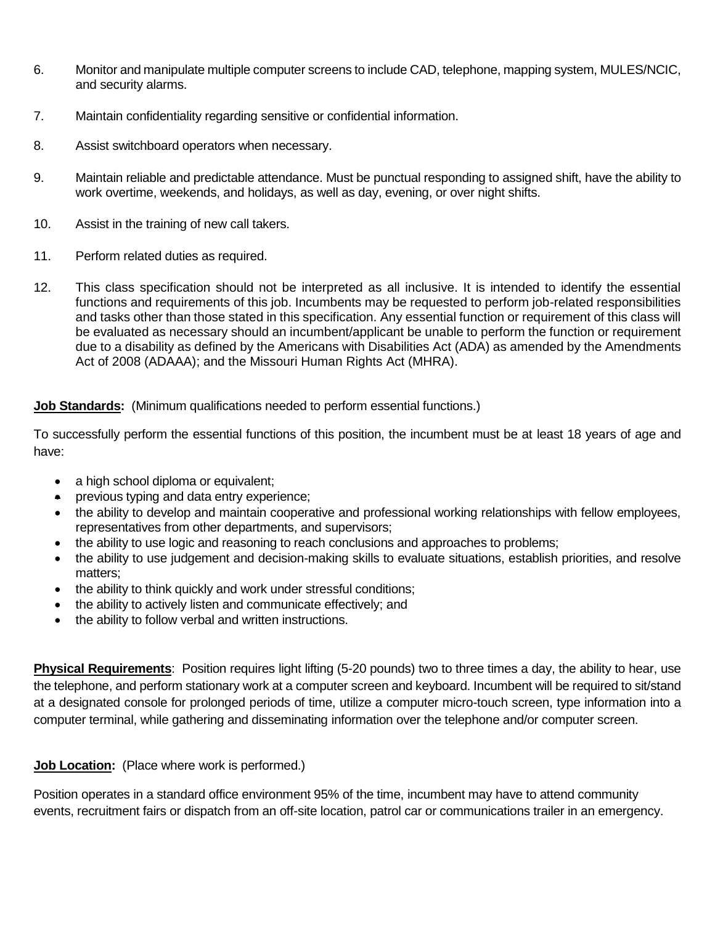- 6. Monitor and manipulate multiple computer screens to include CAD, telephone, mapping system, MULES/NCIC, and security alarms.
- 7. Maintain confidentiality regarding sensitive or confidential information.
- 8. Assist switchboard operators when necessary.
- 9. Maintain reliable and predictable attendance. Must be punctual responding to assigned shift, have the ability to work overtime, weekends, and holidays, as well as day, evening, or over night shifts.
- 10. Assist in the training of new call takers.
- 11. Perform related duties as required.
- 12. This class specification should not be interpreted as all inclusive. It is intended to identify the essential functions and requirements of this job. Incumbents may be requested to perform job-related responsibilities and tasks other than those stated in this specification. Any essential function or requirement of this class will be evaluated as necessary should an incumbent/applicant be unable to perform the function or requirement due to a disability as defined by the Americans with Disabilities Act (ADA) as amended by the Amendments Act of 2008 (ADAAA); and the Missouri Human Rights Act (MHRA).

### **Job Standards:** (Minimum qualifications needed to perform essential functions.)

To successfully perform the essential functions of this position, the incumbent must be at least 18 years of age and have:

- a high school diploma or equivalent;
- previous typing and data entry experience;
- the ability to develop and maintain cooperative and professional working relationships with fellow employees, representatives from other departments, and supervisors;
- the ability to use logic and reasoning to reach conclusions and approaches to problems;
- the ability to use judgement and decision-making skills to evaluate situations, establish priorities, and resolve matters;
- the ability to think quickly and work under stressful conditions;
- the ability to actively listen and communicate effectively; and
- the ability to follow verbal and written instructions.

**Physical Requirements**: Position requires light lifting (5-20 pounds) two to three times a day, the ability to hear, use the telephone, and perform stationary work at a computer screen and keyboard. Incumbent will be required to sit/stand at a designated console for prolonged periods of time, utilize a computer micro-touch screen, type information into a computer terminal, while gathering and disseminating information over the telephone and/or computer screen.

### **Job Location:** (Place where work is performed.)

Position operates in a standard office environment 95% of the time, incumbent may have to attend community events, recruitment fairs or dispatch from an off-site location, patrol car or communications trailer in an emergency.